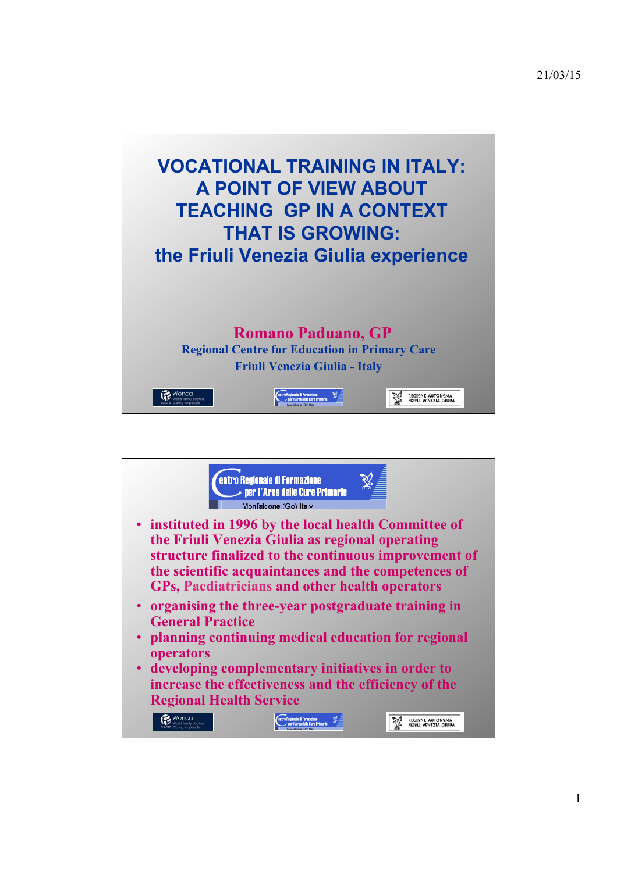

21/03/15



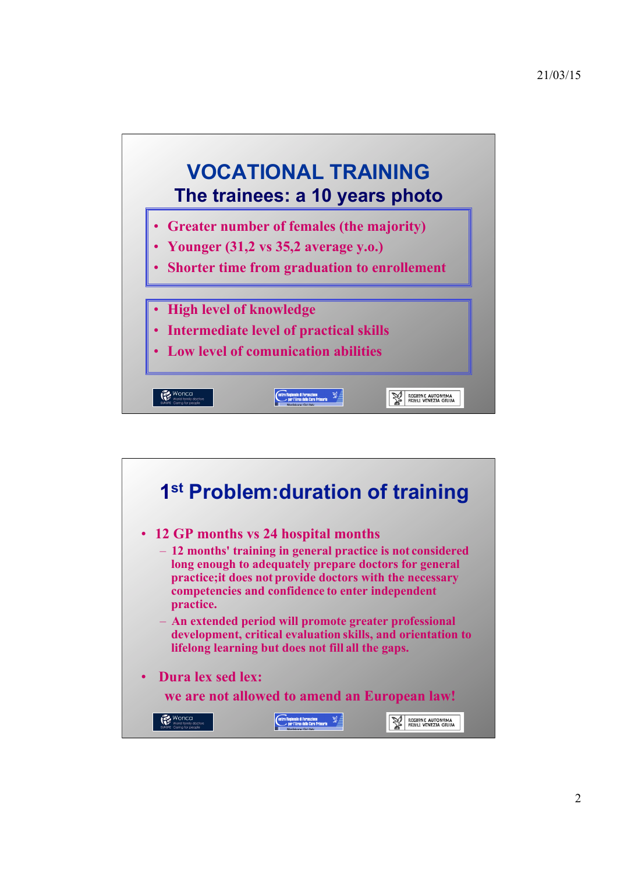

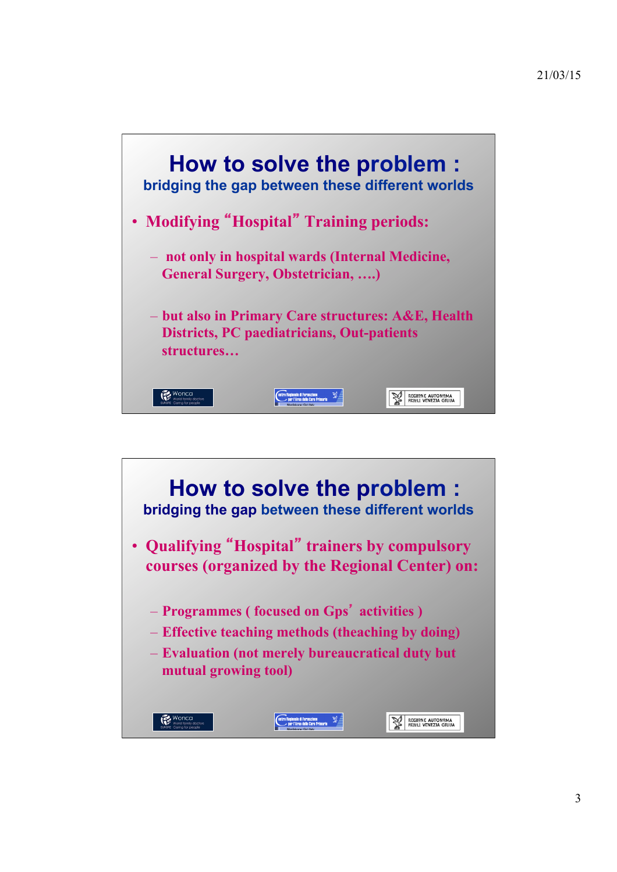

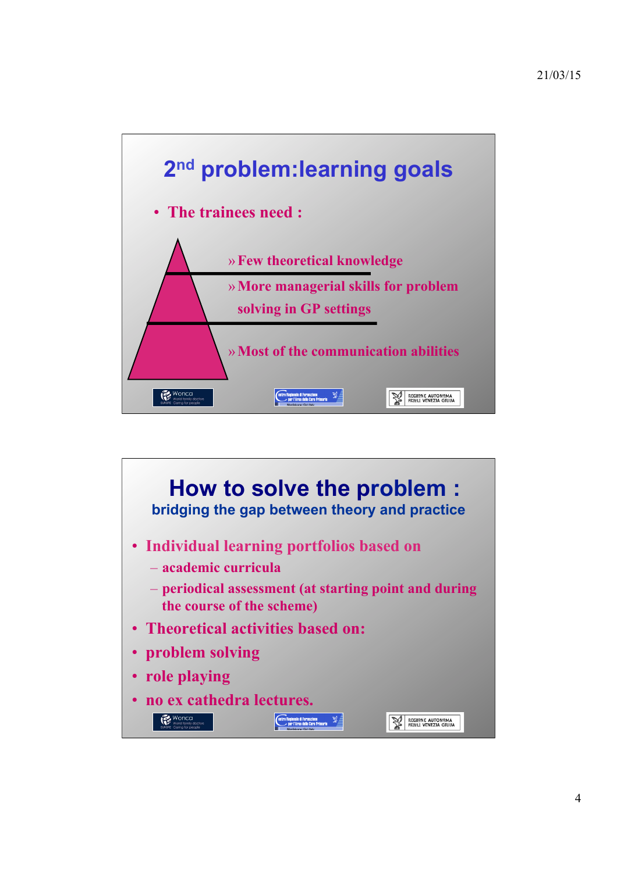